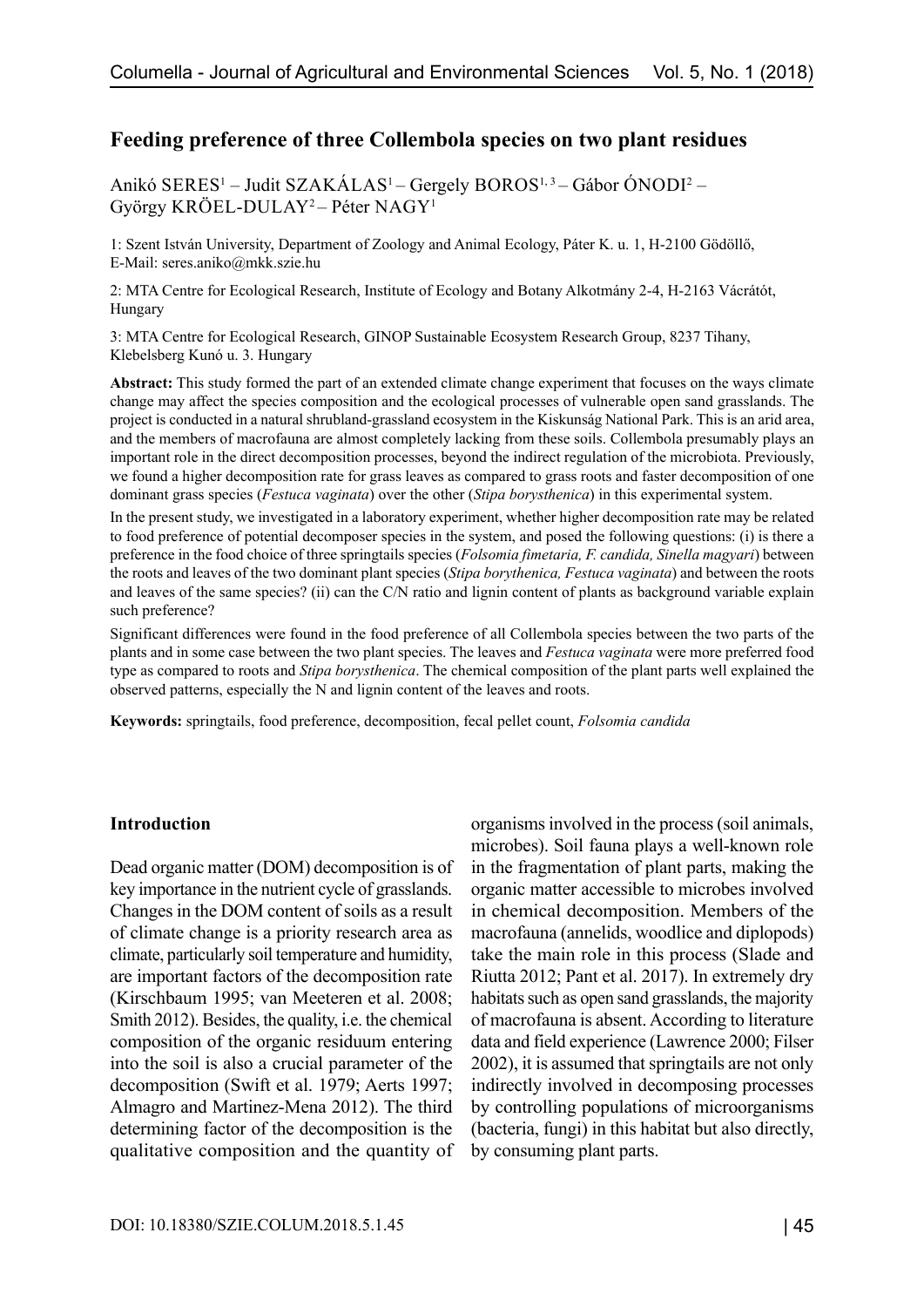# **Feeding preference of three Collembola species on two plant residues**

Anikó SERES<sup>1</sup> – Judit SZAKÁLAS<sup>1</sup> – Gergely BOROS<sup>1, 3</sup> – Gábor ÓNODI<sup>2</sup> – György KRÖEL-DULAY2 – Péter NAGY1

1: Szent István University, Department of Zoology and Animal Ecology, Páter K. u. 1, H-2100 Gödöllő, E-Mail: seres.aniko@mkk.szie.hu

2: MTA Centre for Ecological Research, Institute of Ecology and Botany Alkotmány 2-4, H-2163 Vácrátót, Hungary

3: MTA Centre for Ecological Research, GINOP Sustainable Ecosystem Research Group, 8237 Tihany, Klebelsberg Kunó u. 3. Hungary

**Abstract:** This study formed the part of an extended climate change experiment that focuses on the ways climate change may affect the species composition and the ecological processes of vulnerable open sand grasslands. The project is conducted in a natural shrubland-grassland ecosystem in the Kiskunság National Park. This is an arid area, and the members of macrofauna are almost completely lacking from these soils. Collembola presumably plays an important role in the direct decomposition processes, beyond the indirect regulation of the microbiota. Previously, we found a higher decomposition rate for grass leaves as compared to grass roots and faster decomposition of one dominant grass species (*Festuca vaginata*) over the other (*Stipa borysthenica*) in this experimental system.

In the present study, we investigated in a laboratory experiment, whether higher decomposition rate may be related to food preference of potential decomposer species in the system, and posed the following questions: (i) is there a preference in the food choice of three springtails species (*Folsomia fimetaria, F. candida, Sinella magyari*) between the roots and leaves of the two dominant plant species (*Stipa borythenica, Festuca vaginata*) and between the roots and leaves of the same species? (ii) can the C/N ratio and lignin content of plants as background variable explain such preference?

Significant differences were found in the food preference of all Collembola species between the two parts of the plants and in some case between the two plant species. The leaves and *Festuca vaginata* were more preferred food type as compared to roots and *Stipa borysthenica*. The chemical composition of the plant parts well explained the observed patterns, especially the N and lignin content of the leaves and roots.

**Keywords:** springtails, food preference, decomposition, fecal pellet count, *Folsomia candida*

#### **Introduction**

Dead organic matter (DOM) decomposition is of key importance in the nutrient cycle of grasslands. Changes in the DOM content of soils as a result of climate change is a priority research area as climate, particularly soil temperature and humidity, are important factors of the decomposition rate (Kirschbaum 1995; van Meeteren et al. 2008; Smith 2012). Besides, the quality, i.e. the chemical composition of the organic residuum entering into the soil is also a crucial parameter of the decomposition (Swift et al. 1979; Aerts 1997; Almagro and Martinez-Mena 2012). The third determining factor of the decomposition is the qualitative composition and the quantity of organisms involved in the process (soil animals, microbes). Soil fauna plays a well-known role in the fragmentation of plant parts, making the organic matter accessible to microbes involved in chemical decomposition. Members of the macrofauna (annelids, woodlice and diplopods) take the main role in this process (Slade and Riutta 2012; Pant et al. 2017). In extremely dry habitats such as open sand grasslands, the majority of macrofauna is absent. According to literature data and field experience (Lawrence 2000; Filser 2002), it is assumed that springtails are not only indirectly involved in decomposing processes by controlling populations of microorganisms (bacteria, fungi) in this habitat but also directly, by consuming plant parts.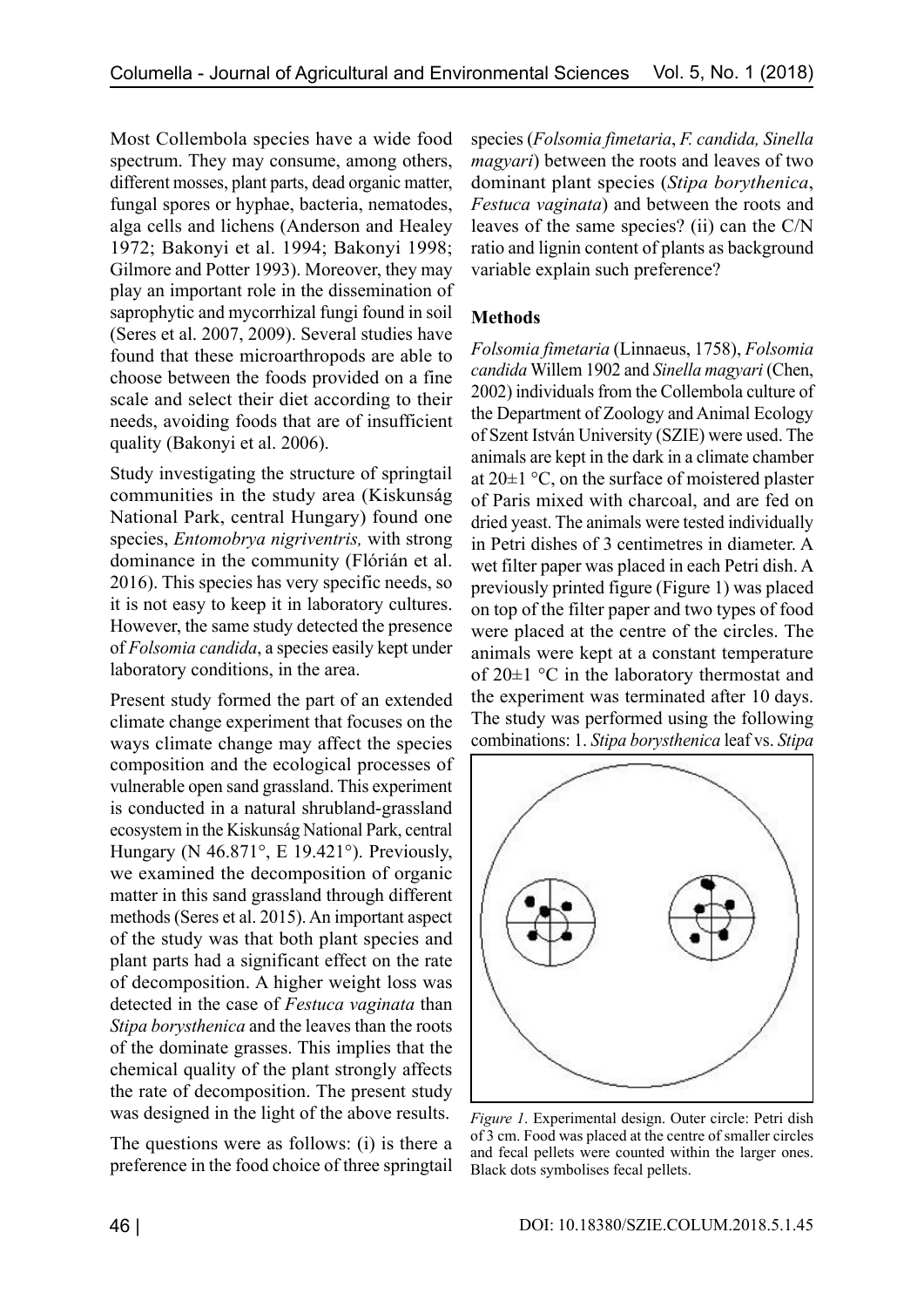Most Collembola species have a wide food spectrum. They may consume, among others, different mosses, plant parts, dead organic matter, fungal spores or hyphae, bacteria, nematodes, alga cells and lichens (Anderson and Healey 1972; Bakonyi et al. 1994; Bakonyi 1998; Gilmore and Potter 1993). Moreover, they may play an important role in the dissemination of saprophytic and mycorrhizal fungi found in soil (Seres et al. 2007, 2009). Several studies have found that these microarthropods are able to choose between the foods provided on a fine scale and select their diet according to their needs, avoiding foods that are of insufficient quality (Bakonyi et al. 2006).

Study investigating the structure of springtail communities in the study area (Kiskunság National Park, central Hungary) found one species, *Entomobrya nigriventris,* with strong dominance in the community (Flórián et al. 2016). This species has very specific needs, so it is not easy to keep it in laboratory cultures. However, the same study detected the presence of *Folsomia candida*, a species easily kept under laboratory conditions, in the area.

Present study formed the part of an extended climate change experiment that focuses on the ways climate change may affect the species composition and the ecological processes of vulnerable open sand grassland. This experiment is conducted in a natural shrubland-grassland ecosystem in the Kiskunság National Park, central Hungary (N 46.871°, E 19.421°). Previously, we examined the decomposition of organic matter in this sand grassland through different methods (Seres et al. 2015). An important aspect of the study was that both plant species and plant parts had a significant effect on the rate of decomposition. A higher weight loss was detected in the case of *Festuca vaginata* than *Stipa borysthenica* and the leaves than the roots of the dominate grasses. This implies that the chemical quality of the plant strongly affects the rate of decomposition. The present study was designed in the light of the above results.

The questions were as follows: (i) is there a preference in the food choice of three springtail species (*Folsomia fimetaria*, *F. candida, Sinella magyari*) between the roots and leaves of two dominant plant species (*Stipa borythenica*, *Festuca vaginata*) and between the roots and leaves of the same species? (ii) can the C/N ratio and lignin content of plants as background variable explain such preference?

# **Methods**

*Folsomia fimetaria* (Linnaeus, 1758), *Folsomia candida* Willem 1902 and *Sinella magyari* (Chen, 2002) individuals from the Collembola culture of the Department of Zoology and Animal Ecology of Szent István University (SZIE) were used. The animals are kept in the dark in a climate chamber at 20±1 °C, on the surface of moistered plaster of Paris mixed with charcoal, and are fed on dried yeast. The animals were tested individually in Petri dishes of 3 centimetres in diameter. A wet filter paper was placed in each Petri dish. A previously printed figure (Figure 1) was placed on top of the filter paper and two types of food were placed at the centre of the circles. The animals were kept at a constant temperature of 20±1 °C in the laboratory thermostat and the experiment was terminated after 10 days. The study was performed using the following combinations: 1. *Stipa borysthenica* leaf vs. *Stipa* 



*Figure 1*. Experimental design. Outer circle: Petri dish of 3 cm. Food was placed at the centre of smaller circles and fecal pellets were counted within the larger ones. Black dots symbolises fecal pellets.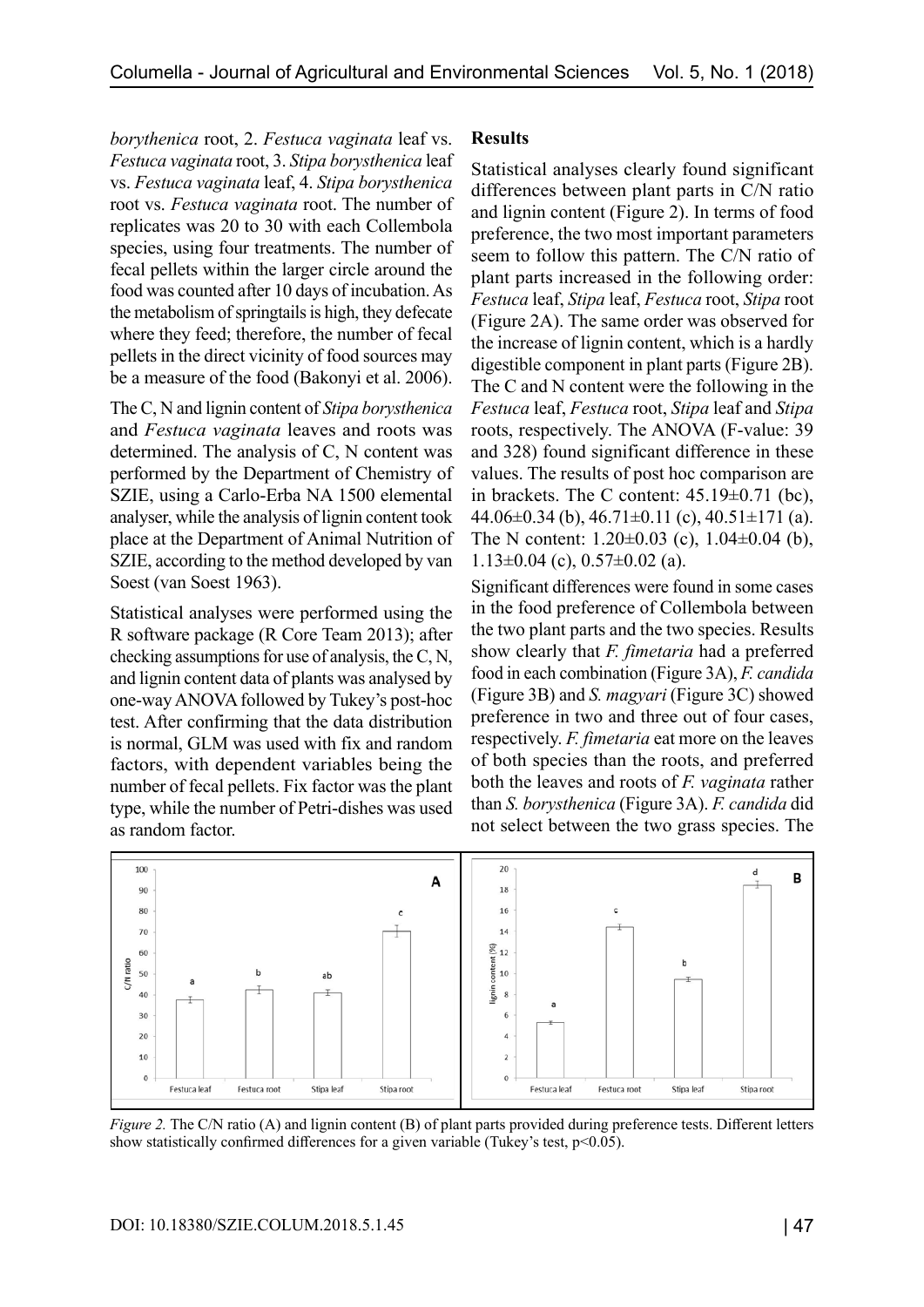*borythenica* root, 2. *Festuca vaginata* leaf vs. *Festuca vaginata* root, 3. *Stipa borysthenica* leaf vs. *Festuca vaginata* leaf, 4. *Stipa borysthenica*  root vs. *Festuca vaginata* root. The number of replicates was 20 to 30 with each Collembola species, using four treatments. The number of fecal pellets within the larger circle around the food was counted after 10 days of incubation. As the metabolism of springtails is high, they defecate where they feed; therefore, the number of fecal pellets in the direct vicinity of food sources may be a measure of the food (Bakonyi et al. 2006).

The C, N and lignin content of *Stipa borysthenica* and *Festuca vaginata* leaves and roots was determined. The analysis of C, N content was performed by the Department of Chemistry of SZIE, using a Carlo-Erba NA 1500 elemental analyser, while the analysis of lignin content took place at the Department of Animal Nutrition of SZIE, according to the method developed by van Soest (van Soest 1963).

Statistical analyses were performed using the R software package (R Core Team 2013); after checking assumptions for use of analysis, the C, N, and lignin content data of plants was analysed by one-way ANOVA followed by Tukey's post-hoc test. After confirming that the data distribution is normal, GLM was used with fix and random factors, with dependent variables being the number of fecal pellets. Fix factor was the plant type, while the number of Petri-dishes was used as random factor.

## **Results**

Statistical analyses clearly found significant differences between plant parts in C/N ratio and lignin content (Figure 2). In terms of food preference, the two most important parameters seem to follow this pattern. The C/N ratio of plant parts increased in the following order: *Festuca* leaf, *Stipa* leaf, *Festuca* root, *Stipa* root (Figure 2A). The same order was observed for the increase of lignin content, which is a hardly digestible component in plant parts (Figure 2B). The C and N content were the following in the *Festuca* leaf, *Festuca* root, *Stipa* leaf and *Stipa* roots, respectively. The ANOVA (F-value: 39 and 328) found significant difference in these values. The results of post hoc comparison are in brackets. The C content: 45.19±0.71 (bc), 44.06 $\pm$ 0.34 (b), 46.71 $\pm$ 0.11 (c), 40.51 $\pm$ 171 (a). The N content: 1.20±0.03 (c), 1.04±0.04 (b),  $1.13\pm0.04$  (c),  $0.57\pm0.02$  (a).

Significant differences were found in some cases in the food preference of Collembola between the two plant parts and the two species. Results show clearly that *F. fimetaria* had a preferred food in each combination (Figure 3A), *F. candida* (Figure 3B) and *S. magyari* (Figure 3C) showed preference in two and three out of four cases, respectively. *F. fimetaria* eat more on the leaves of both species than the roots, and preferred both the leaves and roots of *F. vaginata* rather than *S. borysthenica* (Figure 3A). *F. candida* did not select between the two grass species. The



*Figure 2.* The C/N ratio (A) and lignin content (B) of plant parts provided during preference tests. Different letters show statistically confirmed differences for a given variable (Tukey's test,  $p<0.05$ ).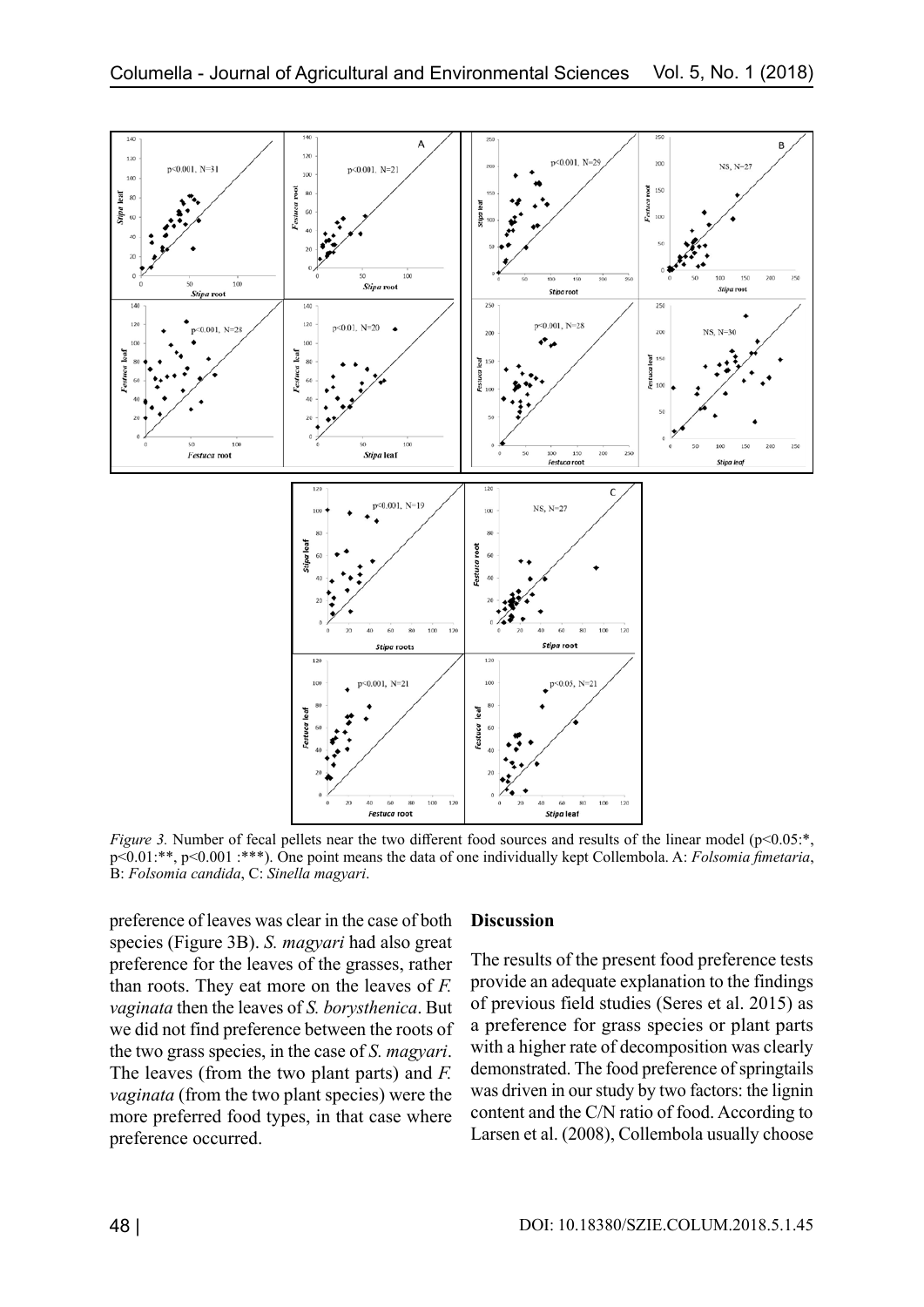

*Figure 3.* Number of fecal pellets near the two different food sources and results of the linear model (p<0.05:\*, p<0.01:\*\*, p<0.001 :\*\*\*). One point means the data of one individually kept Collembola. A: *Folsomia fimetaria*, B: *Folsomia candida*, C: *Sinella magyari*.

preference of leaves was clear in the case of both species (Figure 3B). *S. magyari* had also great preference for the leaves of the grasses, rather than roots. They eat more on the leaves of *F. vaginata* then the leaves of *S. borysthenica*. But we did not find preference between the roots of the two grass species, in the case of *S. magyari*. The leaves (from the two plant parts) and *F. vaginata* (from the two plant species) were the more preferred food types, in that case where preference occurred.

#### **Discussion**

The results of the present food preference tests provide an adequate explanation to the findings of previous field studies (Seres et al. 2015) as a preference for grass species or plant parts with a higher rate of decomposition was clearly demonstrated. The food preference of springtails was driven in our study by two factors: the lignin content and the C/N ratio of food. According to Larsen et al. (2008), Collembola usually choose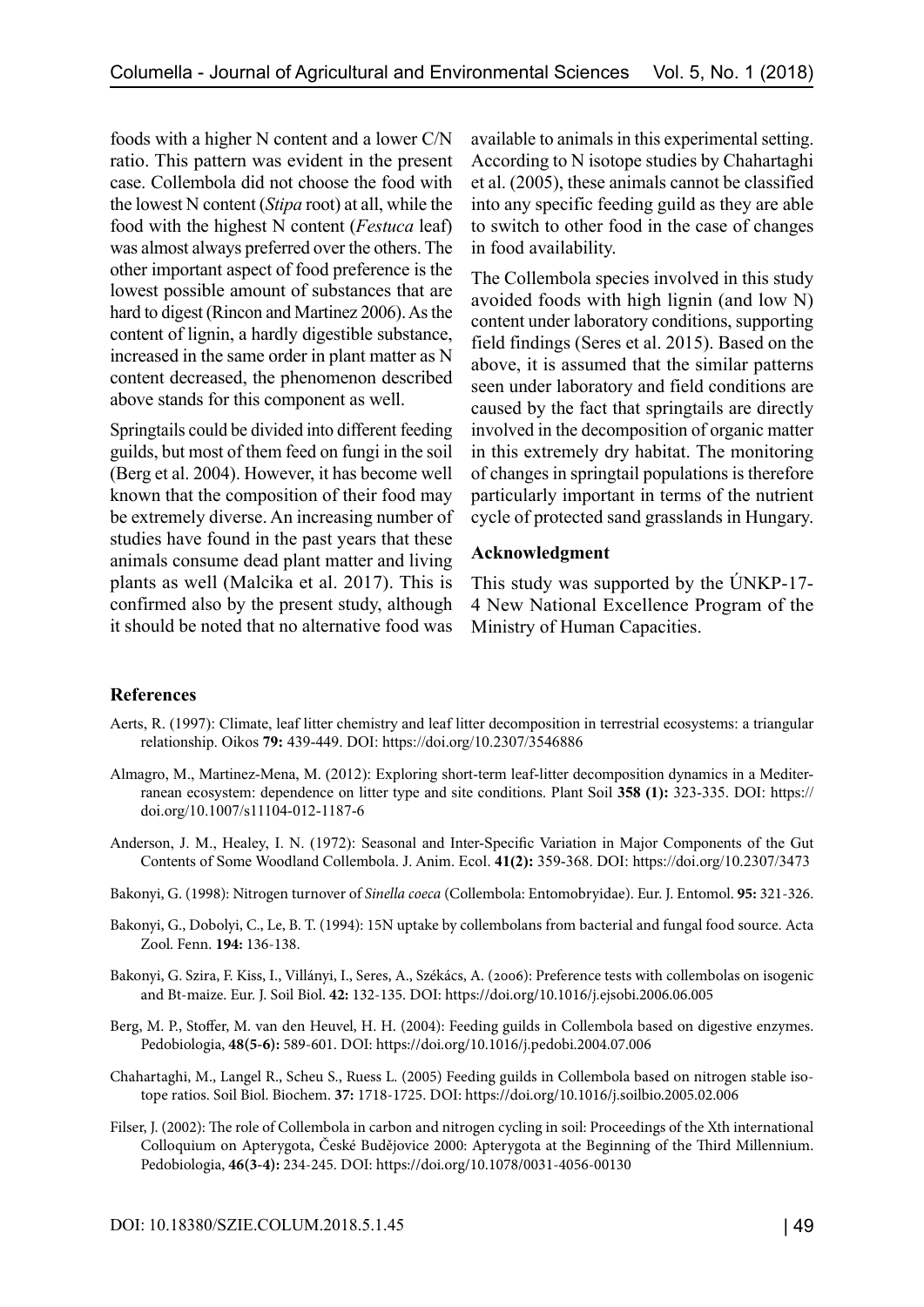foods with a higher N content and a lower C/N ratio. This pattern was evident in the present case. Collembola did not choose the food with the lowest N content (*Stipa* root) at all, while the food with the highest N content (*Festuca* leaf) was almost always preferred over the others. The other important aspect of food preference is the lowest possible amount of substances that are hard to digest (Rincon and Martinez 2006). As the content of lignin, a hardly digestible substance, increased in the same order in plant matter as N content decreased, the phenomenon described above stands for this component as well.

Springtails could be divided into different feeding guilds, but most of them feed on fungi in the soil (Berg et al. 2004). However, it has become well known that the composition of their food may be extremely diverse. An increasing number of studies have found in the past years that these animals consume dead plant matter and living plants as well (Malcika et al. 2017). This is confirmed also by the present study, although it should be noted that no alternative food was

available to animals in this experimental setting. According to N isotope studies by Chahartaghi et al. (2005), these animals cannot be classified into any specific feeding guild as they are able to switch to other food in the case of changes in food availability.

The Collembola species involved in this study avoided foods with high lignin (and low N) content under laboratory conditions, supporting field findings (Seres et al. 2015). Based on the above, it is assumed that the similar patterns seen under laboratory and field conditions are caused by the fact that springtails are directly involved in the decomposition of organic matter in this extremely dry habitat. The monitoring of changes in springtail populations is therefore particularly important in terms of the nutrient cycle of protected sand grasslands in Hungary.

### **Acknowledgment**

This study was supported by the ÚNKP-17- 4 New National Excellence Program of the Ministry of Human Capacities.

## **References**

- Aerts, R. (1997): Climate, leaf litter chemistry and leaf litter decomposition in terrestrial ecosystems: a triangular relationship. Oikos **79:** 439-449. DOI: https://doi.org/10.2307/3546886
- Almagro, M., Martinez-Mena, M. (2012): Exploring short-term leaf-litter decomposition dynamics in a Mediterranean ecosystem: dependence on litter type and site conditions. Plant Soil **358 (1):** 323-335. DOI: https:// doi.org/10.1007/s11104-012-1187-6
- Anderson, J. M., Healey, I. N. (1972): Seasonal and Inter-Specific Variation in Major Components of the Gut Contents of Some Woodland Collembola. J. Anim. Ecol. **41(2):** 359-368. DOI: https://doi.org/10.2307/3473
- Bakonyi, G. (1998): Nitrogen turnover of *Sinella coeca* (Collembola: Entomobryidae). Eur. J. Entomol. **95:** 321-326.
- Bakonyi, G., Dobolyi, C., Le, B. T. (1994): 15N uptake by collembolans from bacterial and fungal food source. Acta Zool. Fenn. **194:** 136-138.
- Bakonyi, G. Szira, F. Kiss, I., Villányi, I., Seres, A., Székács, A. (2006): Preference tests with collembolas on isogenic and Bt-maize. Eur. J. Soil Biol. **42:** 132-135. DOI: https://doi.org/10.1016/j.ejsobi.2006.06.005
- Berg, M. P., Stoffer, M. van den Heuvel, H. H. (2004): Feeding guilds in Collembola based on digestive enzymes. Pedobiologia, **48(5-6):** 589-601. DOI: https://doi.org/10.1016/j.pedobi.2004.07.006
- Chahartaghi, M., Langel R., Scheu S., Ruess L. (2005) Feeding guilds in Collembola based on nitrogen stable isotope ratios. Soil Biol. Biochem. **37:** 1718-1725. DOI: https://doi.org/10.1016/j.soilbio.2005.02.006
- Filser, J. (2002): The role of Collembola in carbon and nitrogen cycling in soil: Proceedings of the Xth international Colloquium on Apterygota, České Budějovice 2000: Apterygota at the Beginning of the Third Millennium. Pedobiologia, **46(3-4):** 234-245. DOI: https://doi.org/10.1078/0031-4056-00130